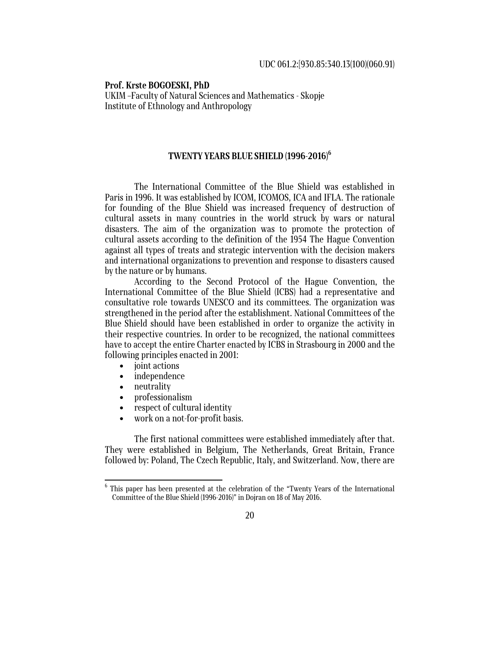**Prof. Krste BOGOESKI, PhD**  UKIM –Faculty of Natural Sciences and Mathematics - Skopje Institute of Ethnology and Anthropology

## **TWENTY YEARS BLUE SHIELD (1996-2016)<sup>6</sup>**

The International Committee of the Blue Shield was established in Paris in 1996. It was established by ICOM, ICOMOS, ICA and IFLA. The rationale for founding of the Blue Shield was increased frequency of destruction of cultural assets in many countries in the world struck by wars or natural disasters. The aim of the organization was to promote the protection of cultural assets according to the definition of the 1954 The Hague Convention against all types of treats and strategic intervention with the decision makers and international organizations to prevention and response to disasters caused by the nature or by humans.

According to the Second Protocol of the Hague Convention, the International Committee of the Blue Shield (ICBS) had a representative and consultative role towards UNESCO and its committees. The organization was strengthened in the period after the establishment. National Committees of the Blue Shield should have been established in order to organize the activity in their respective countries. In order to be recognized, the national committees have to accept the entire Charter enacted by ICBS in Strasbourg in 2000 and the following principles enacted in 2001:

- ioint actions
- independence
- neutrality
- professionalism
- respect of cultural identity

work on a not-for-profit basis.

The first national committees were established immediately after that. They were established in Belgium, The Netherlands, Great Britain, France followed by: Poland, The Czech Republic, Italy, and Switzerland. Now, there are

20

 $^6$  This paper has been presented at the celebration of the "Twenty Years of the International Committee of the Blue Shield (1996-2016)" in Dojran on 18 of May 2016.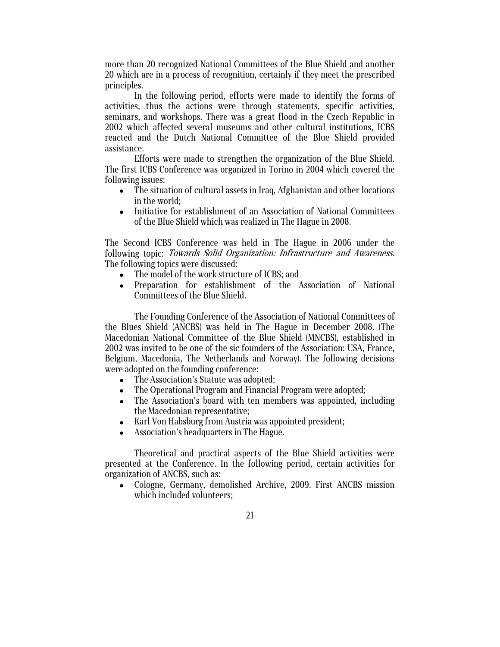more than 20 recognized National Committees of the Blue Shield and another 20 which are in a process of recognition, certainly if they meet the prescribed principles.

In the following period, efforts were made to identify the forms of activities, thus the actions were through statements, specific activities, seminars, and workshops. There was a great flood in the Czech Republic in 2002 which affected several museums and other cultural institutions, ICBS reacted and the Dutch National Committee of the Blue Shield provided assistance.

Efforts were made to strengthen the organization of the Blue Shield. The first ICBS Conference was organized in Torino in 2004 which covered the following issues:

- The situation of cultural assets in Iraq, Afghanistan and other locations in the world;
- Initiative for establishment of an Association of National Committees of the Blue Shield which was realized in The Hague in 2008.

The Second ICBS Conference was held in The Hague in 2006 under the following topic: Towards Solid Organization: Infrastructure and Awareness. The following topics were discussed:

- The model of the work structure of ICBS; and
- Preparation for establishment of the Association of National Committees of the Blue Shield.

The Founding Conference of the Association of National Committees of the Blues Shield (ANCBS) was held in The Hague in December 2008. (The Macedonian National Committee of the Blue Shield (MNCBS), established in 2002 was invited to be one of the sic founders of the Association: USA, France, Belgium, Macedonia, The Netherlands and Norway). The following decisions were adopted on the founding conference:

- The Association's Statute was adopted;
- The Operational Program and Financial Program were adopted;
- The Association's board with ten members was appointed, including the Macedonian representative;
- Karl Von Habsburg from Austria was appointed president;
- Association's headquarters in The Hague.

Theoretical and practical aspects of the Blue Shield activities were presented at the Conference. In the following period, certain activities for organization of ANCBS, such as:

- Cologne, Germany, demolished Archive, 2009. First ANCBS mission which included volunteers;
	- 21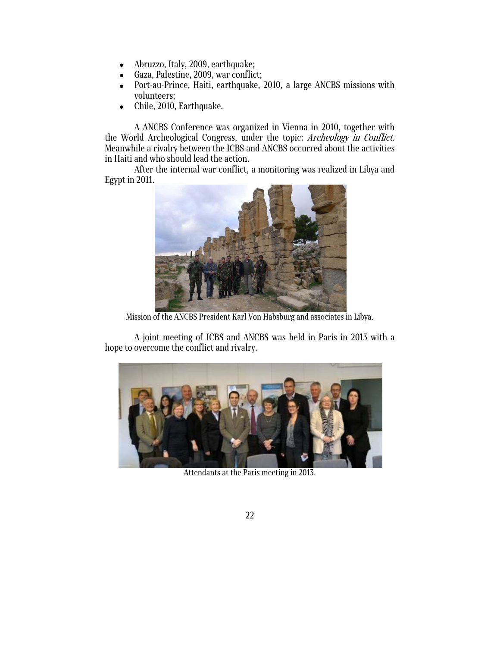- Abruzzo, Italy, 2009, earthquake;
- Gaza, Palestine, 2009, war conflict;
- Port-au-Prince, Haiti, earthquake, 2010, a large ANCBS missions with volunteers;
- Chile, 2010, Earthquake.

A ANCBS Conference was organized in Vienna in 2010, together with the World Archeological Congress, under the topic: Archeology in Conflict. Meanwhile a rivalry between the ICBS and ANCBS occurred about the activities in Haiti and who should lead the action.

After the internal war conflict, a monitoring was realized in Libya and Egypt in 2011.



Mission of the ANCBS President Karl Von Habsburg and associates in Libya.

A joint meeting of ICBS and ANCBS was held in Paris in 2013 with a hope to overcome the conflict and rivalry.



Attendants at the Paris meeting in 2013.

22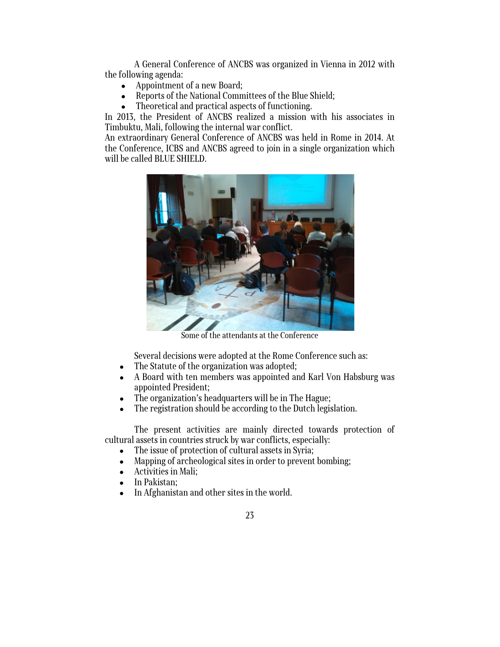A General Conference of ANCBS was organized in Vienna in 2012 with the following agenda:

- Appointment of a new Board;
- Reports of the National Committees of the Blue Shield;
- Theoretical and practical aspects of functioning.

In 2013, the President of ANCBS realized a mission with his associates in Timbuktu, Mali, following the internal war conflict.

An extraordinary General Conference of ANCBS was held in Rome in 2014. At the Conference, ICBS and ANCBS agreed to join in a single organization which will be called BLUE SHIELD.



Some of the attendants at the Conference

Several decisions were adopted at the Rome Conference such as:

- The Statute of the organization was adopted;
- A Board with ten members was appointed and Karl Von Habsburg was appointed President;
- The organization's headquarters will be in The Hague;
- The registration should be according to the Dutch legislation.

The present activities are mainly directed towards protection of cultural assets in countries struck by war conflicts, especially:

- The issue of protection of cultural assets in Syria;
- Mapping of archeological sites in order to prevent bombing;
- Activities in Mali;
- In Pakistan;
- In Afghanistan and other sites in the world.